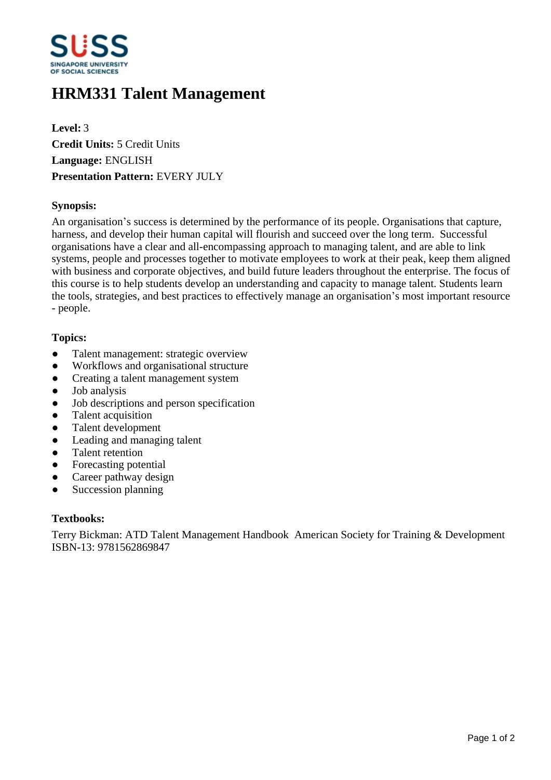

# **HRM331 Talent Management**

**Level:** 3 **Credit Units:** 5 Credit Units **Language:** ENGLISH **Presentation Pattern:** EVERY JULY

## **Synopsis:**

An organisation's success is determined by the performance of its people. Organisations that capture, harness, and develop their human capital will flourish and succeed over the long term. Successful organisations have a clear and all-encompassing approach to managing talent, and are able to link systems, people and processes together to motivate employees to work at their peak, keep them aligned with business and corporate objectives, and build future leaders throughout the enterprise. The focus of this course is to help students develop an understanding and capacity to manage talent. Students learn the tools, strategies, and best practices to effectively manage an organisation's most important resource - people.

## **Topics:**

- Talent management: strategic overview
- Workflows and organisational structure
- Creating a talent management system
- Job analysis
- Job descriptions and person specification
- Talent acquisition
- ƔTalent development
- Leading and managing talent
- Talent retention
- Forecasting potential
- Career pathway design
- Succession planning

#### **Textbooks:**

Terry Bickman: ATD Talent Management Handbook American Society for Training & Development ISBN-13: 9781562869847